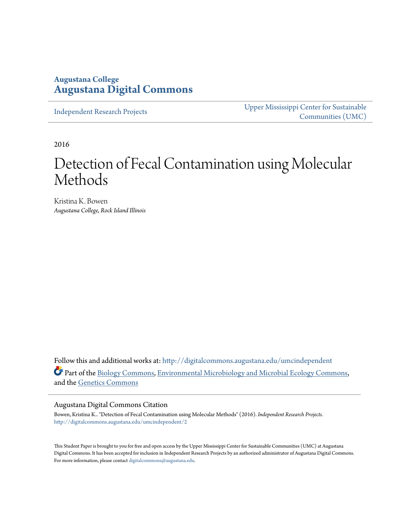## **Augustana College [Augustana Digital Commons](http://digitalcommons.augustana.edu?utm_source=digitalcommons.augustana.edu%2Fumcindependent%2F2&utm_medium=PDF&utm_campaign=PDFCoverPages)**

[Independent Research Projects](http://digitalcommons.augustana.edu/umcindependent?utm_source=digitalcommons.augustana.edu%2Fumcindependent%2F2&utm_medium=PDF&utm_campaign=PDFCoverPages)

[Upper Mississippi Center for Sustainable](http://digitalcommons.augustana.edu/umc?utm_source=digitalcommons.augustana.edu%2Fumcindependent%2F2&utm_medium=PDF&utm_campaign=PDFCoverPages) [Communities \(UMC\)](http://digitalcommons.augustana.edu/umc?utm_source=digitalcommons.augustana.edu%2Fumcindependent%2F2&utm_medium=PDF&utm_campaign=PDFCoverPages)

2016

# Detection of Fecal Contamination using Molecular Methods

Kristina K. Bowen *Augustana College, Rock Island Illinois*

Follow this and additional works at: [http://digitalcommons.augustana.edu/umcindependent](http://digitalcommons.augustana.edu/umcindependent?utm_source=digitalcommons.augustana.edu%2Fumcindependent%2F2&utm_medium=PDF&utm_campaign=PDFCoverPages) Part of the [Biology Commons,](http://network.bepress.com/hgg/discipline/41?utm_source=digitalcommons.augustana.edu%2Fumcindependent%2F2&utm_medium=PDF&utm_campaign=PDFCoverPages) [Environmental Microbiology and Microbial Ecology Commons,](http://network.bepress.com/hgg/discipline/50?utm_source=digitalcommons.augustana.edu%2Fumcindependent%2F2&utm_medium=PDF&utm_campaign=PDFCoverPages) and the [Genetics Commons](http://network.bepress.com/hgg/discipline/29?utm_source=digitalcommons.augustana.edu%2Fumcindependent%2F2&utm_medium=PDF&utm_campaign=PDFCoverPages)

#### Augustana Digital Commons Citation

Bowen, Kristina K.. "Detection of Fecal Contamination using Molecular Methods" (2016). *Independent Research Projects.* [http://digitalcommons.augustana.edu/umcindependent/2](http://digitalcommons.augustana.edu/umcindependent/2?utm_source=digitalcommons.augustana.edu%2Fumcindependent%2F2&utm_medium=PDF&utm_campaign=PDFCoverPages)

This Student Paper is brought to you for free and open access by the Upper Mississippi Center for Sustainable Communities (UMC) at Augustana Digital Commons. It has been accepted for inclusion in Independent Research Projects by an authorized administrator of Augustana Digital Commons. For more information, please contact [digitalcommons@augustana.edu.](mailto:digitalcommons@augustana.edu)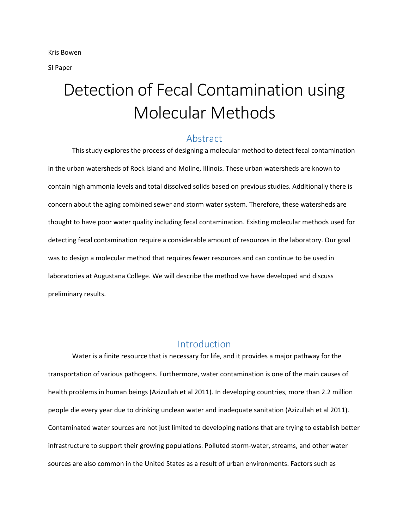SI Paper

# Detection of Fecal Contamination using Molecular Methods

#### Abstract

This study explores the process of designing a molecular method to detect fecal contamination in the urban watersheds of Rock Island and Moline, Illinois. These urban watersheds are known to contain high ammonia levels and total dissolved solids based on previous studies. Additionally there is concern about the aging combined sewer and storm water system. Therefore, these watersheds are thought to have poor water quality including fecal contamination. Existing molecular methods used for detecting fecal contamination require a considerable amount of resources in the laboratory. Our goal was to design a molecular method that requires fewer resources and can continue to be used in laboratories at Augustana College. We will describe the method we have developed and discuss preliminary results.

### Introduction

Water is a finite resource that is necessary for life, and it provides a major pathway for the transportation of various pathogens. Furthermore, water contamination is one of the main causes of health problems in human beings (Azizullah et al 2011). In developing countries, more than 2.2 million people die every year due to drinking unclean water and inadequate sanitation (Azizullah et al 2011). Contaminated water sources are not just limited to developing nations that are trying to establish better infrastructure to support their growing populations. Polluted storm-water, streams, and other water sources are also common in the United States as a result of urban environments. Factors such as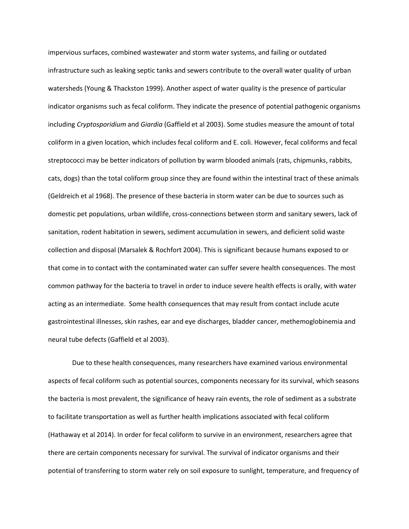impervious surfaces, combined wastewater and storm water systems, and failing or outdated infrastructure such as leaking septic tanks and sewers contribute to the overall water quality of urban watersheds (Young & Thackston 1999). Another aspect of water quality is the presence of particular indicator organisms such as fecal coliform. They indicate the presence of potential pathogenic organisms including *Cryptosporidium* and *Giardia* (Gaffield et al 2003). Some studies measure the amount of total coliform in a given location, which includes fecal coliform and E. coli. However, fecal coliforms and fecal streptococci may be better indicators of pollution by warm blooded animals (rats, chipmunks, rabbits, cats, dogs) than the total coliform group since they are found within the intestinal tract of these animals (Geldreich et al 1968). The presence of these bacteria in storm water can be due to sources such as domestic pet populations, urban wildlife, cross-connections between storm and sanitary sewers, lack of sanitation, rodent habitation in sewers, sediment accumulation in sewers, and deficient solid waste collection and disposal (Marsalek & Rochfort 2004). This is significant because humans exposed to or that come in to contact with the contaminated water can suffer severe health consequences. The most common pathway for the bacteria to travel in order to induce severe health effects is orally, with water acting as an intermediate. Some health consequences that may result from contact include acute gastrointestinal illnesses, skin rashes, ear and eye discharges, bladder cancer, methemoglobinemia and neural tube defects (Gaffield et al 2003).

Due to these health consequences, many researchers have examined various environmental aspects of fecal coliform such as potential sources, components necessary for its survival, which seasons the bacteria is most prevalent, the significance of heavy rain events, the role of sediment as a substrate to facilitate transportation as well as further health implications associated with fecal coliform (Hathaway et al 2014). In order for fecal coliform to survive in an environment, researchers agree that there are certain components necessary for survival. The survival of indicator organisms and their potential of transferring to storm water rely on soil exposure to sunlight, temperature, and frequency of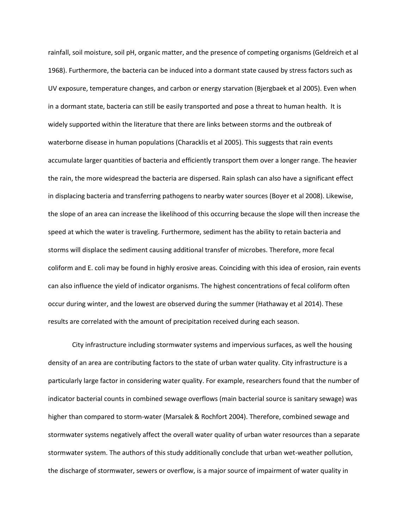rainfall, soil moisture, soil pH, organic matter, and the presence of competing organisms (Geldreich et al 1968). Furthermore, the bacteria can be induced into a dormant state caused by stress factors such as UV exposure, temperature changes, and carbon or energy starvation (Bjergbaek et al 2005). Even when in a dormant state, bacteria can still be easily transported and pose a threat to human health. It is widely supported within the literature that there are links between storms and the outbreak of waterborne disease in human populations (Characklis et al 2005). This suggests that rain events accumulate larger quantities of bacteria and efficiently transport them over a longer range. The heavier the rain, the more widespread the bacteria are dispersed. Rain splash can also have a significant effect in displacing bacteria and transferring pathogens to nearby water sources (Boyer et al 2008). Likewise, the slope of an area can increase the likelihood of this occurring because the slope will then increase the speed at which the water is traveling. Furthermore, sediment has the ability to retain bacteria and storms will displace the sediment causing additional transfer of microbes. Therefore, more fecal coliform and E. coli may be found in highly erosive areas. Coinciding with this idea of erosion, rain events can also influence the yield of indicator organisms. The highest concentrations of fecal coliform often occur during winter, and the lowest are observed during the summer (Hathaway et al 2014). These results are correlated with the amount of precipitation received during each season.

City infrastructure including stormwater systems and impervious surfaces, as well the housing density of an area are contributing factors to the state of urban water quality. City infrastructure is a particularly large factor in considering water quality. For example, researchers found that the number of indicator bacterial counts in combined sewage overflows (main bacterial source is sanitary sewage) was higher than compared to storm-water (Marsalek & Rochfort 2004). Therefore, combined sewage and stormwater systems negatively affect the overall water quality of urban water resources than a separate stormwater system. The authors of this study additionally conclude that urban wet-weather pollution, the discharge of stormwater, sewers or overflow, is a major source of impairment of water quality in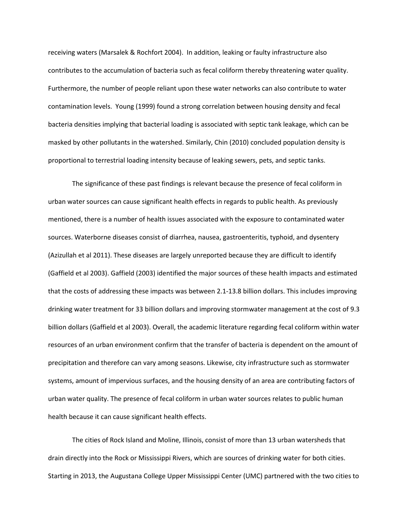receiving waters (Marsalek & Rochfort 2004). In addition, leaking or faulty infrastructure also contributes to the accumulation of bacteria such as fecal coliform thereby threatening water quality. Furthermore, the number of people reliant upon these water networks can also contribute to water contamination levels. Young (1999) found a strong correlation between housing density and fecal bacteria densities implying that bacterial loading is associated with septic tank leakage, which can be masked by other pollutants in the watershed. Similarly, Chin (2010) concluded population density is proportional to terrestrial loading intensity because of leaking sewers, pets, and septic tanks.

The significance of these past findings is relevant because the presence of fecal coliform in urban water sources can cause significant health effects in regards to public health. As previously mentioned, there is a number of health issues associated with the exposure to contaminated water sources. Waterborne diseases consist of diarrhea, nausea, gastroenteritis, typhoid, and dysentery (Azizullah et al 2011). These diseases are largely unreported because they are difficult to identify (Gaffield et al 2003). Gaffield (2003) identified the major sources of these health impacts and estimated that the costs of addressing these impacts was between 2.1-13.8 billion dollars. This includes improving drinking water treatment for 33 billion dollars and improving stormwater management at the cost of 9.3 billion dollars (Gaffield et al 2003). Overall, the academic literature regarding fecal coliform within water resources of an urban environment confirm that the transfer of bacteria is dependent on the amount of precipitation and therefore can vary among seasons. Likewise, city infrastructure such as stormwater systems, amount of impervious surfaces, and the housing density of an area are contributing factors of urban water quality. The presence of fecal coliform in urban water sources relates to public human health because it can cause significant health effects.

The cities of Rock Island and Moline, Illinois, consist of more than 13 urban watersheds that drain directly into the Rock or Mississippi Rivers, which are sources of drinking water for both cities. Starting in 2013, the Augustana College Upper Mississippi Center (UMC) partnered with the two cities to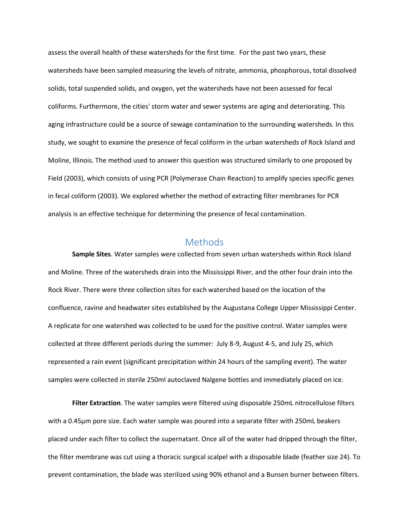assess the overall health of these watersheds for the first time. For the past two years, these watersheds have been sampled measuring the levels of nitrate, ammonia, phosphorous, total dissolved solids, total suspended solids, and oxygen, yet the watersheds have not been assessed for fecal coliforms. Furthermore, the cities' storm water and sewer systems are aging and deteriorating. This aging infrastructure could be a source of sewage contamination to the surrounding watersheds. In this study, we sought to examine the presence of fecal coliform in the urban watersheds of Rock Island and Moline, Illinois. The method used to answer this question was structured similarly to one proposed by Field (2003), which consists of using PCR (Polymerase Chain Reaction) to amplify species specific genes in fecal coliform (2003). We explored whether the method of extracting filter membranes for PCR analysis is an effective technique for determining the presence of fecal contamination.

#### Methods

**Sample Sites**. Water samples were collected from seven urban watersheds within Rock Island and Moline. Three of the watersheds drain into the Mississippi River, and the other four drain into the Rock River. There were three collection sites for each watershed based on the location of the confluence, ravine and headwater sites established by the Augustana College Upper Mississippi Center. A replicate for one watershed was collected to be used for the positive control. Water samples were collected at three different periods during the summer: July 8-9, August 4-5, and July 25, which represented a rain event (significant precipitation within 24 hours of the sampling event). The water samples were collected in sterile 250ml autoclaved Nalgene bottles and immediately placed on ice.

**Filter Extraction**. The water samples were filtered using disposable 250mL nitrocellulose filters with a 0.45µm pore size. Each water sample was poured into a separate filter with 250mL beakers placed under each filter to collect the supernatant. Once all of the water had dripped through the filter, the filter membrane was cut using a thoracic surgical scalpel with a disposable blade (feather size 24). To prevent contamination, the blade was sterilized using 90% ethanol and a Bunsen burner between filters.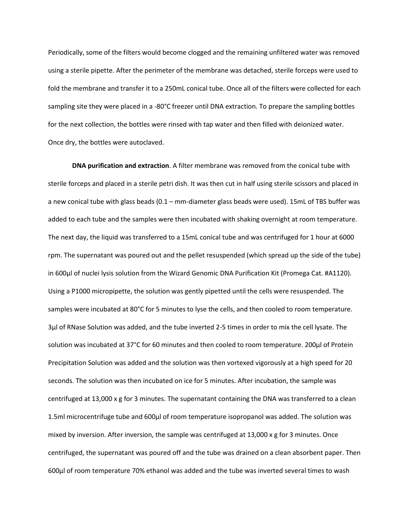Periodically, some of the filters would become clogged and the remaining unfiltered water was removed using a sterile pipette. After the perimeter of the membrane was detached, sterile forceps were used to fold the membrane and transfer it to a 250mL conical tube. Once all of the filters were collected for each sampling site they were placed in a -80°C freezer until DNA extraction. To prepare the sampling bottles for the next collection, the bottles were rinsed with tap water and then filled with deionized water. Once dry, the bottles were autoclaved.

**DNA purification and extraction**. A filter membrane was removed from the conical tube with sterile forceps and placed in a sterile petri dish. It was then cut in half using sterile scissors and placed in a new conical tube with glass beads (0.1 – mm-diameter glass beads were used). 15mL of TBS buffer was added to each tube and the samples were then incubated with shaking overnight at room temperature. The next day, the liquid was transferred to a 15mL conical tube and was centrifuged for 1 hour at 6000 rpm. The supernatant was poured out and the pellet resuspended (which spread up the side of the tube) in 600µl of nuclei lysis solution from the Wizard Genomic DNA Purification Kit (Promega Cat. #A1120). Using a P1000 micropipette, the solution was gently pipetted until the cells were resuspended. The samples were incubated at 80°C for 5 minutes to lyse the cells, and then cooled to room temperature. 3µl of RNase Solution was added, and the tube inverted 2-5 times in order to mix the cell lysate. The solution was incubated at 37°C for 60 minutes and then cooled to room temperature. 200µl of Protein Precipitation Solution was added and the solution was then vortexed vigorously at a high speed for 20 seconds. The solution was then incubated on ice for 5 minutes. After incubation, the sample was centrifuged at 13,000 x g for 3 minutes. The supernatant containing the DNA was transferred to a clean 1.5ml microcentrifuge tube and 600µl of room temperature isopropanol was added. The solution was mixed by inversion. After inversion, the sample was centrifuged at  $13,000 \times g$  for 3 minutes. Once centrifuged, the supernatant was poured off and the tube was drained on a clean absorbent paper. Then 600µl of room temperature 70% ethanol was added and the tube was inverted several times to wash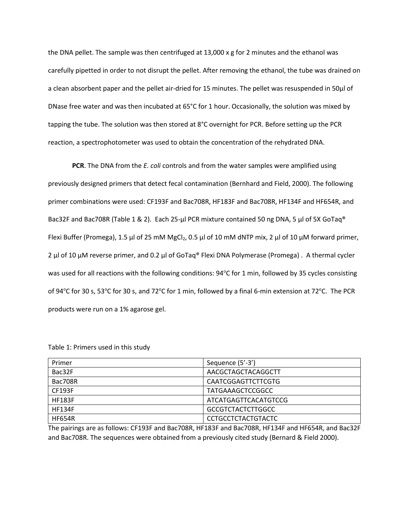the DNA pellet. The sample was then centrifuged at  $13,000 \times g$  for 2 minutes and the ethanol was carefully pipetted in order to not disrupt the pellet. After removing the ethanol, the tube was drained on a clean absorbent paper and the pellet air-dried for 15 minutes. The pellet was resuspended in 50µl of DNase free water and was then incubated at 65°C for 1 hour. Occasionally, the solution was mixed by tapping the tube. The solution was then stored at 8°C overnight for PCR. Before setting up the PCR reaction, a spectrophotometer was used to obtain the concentration of the rehydrated DNA.

**PCR**. The DNA from the *E. coli* controls and from the water samples were amplified using previously designed primers that detect fecal contamination (Bernhard and Field, 2000). The following primer combinations were used: CF193F and Bac708R, HF183F and Bac708R, HF134F and HF654R, and Bac32F and Bac708R (Table 1 & 2). Each 25-μl PCR mixture contained 50 ng DNA, 5 μl of 5X GoTaq® Flexi Buffer (Promega), 1.5 μl of 25 mM MgCl<sub>2</sub>, 0.5 μl of 10 mM dNTP mix, 2 μl of 10 μM forward primer, 2 μl of 10 μM reverse primer, and 0.2 μl of GoTaq® Flexi DNA Polymerase (Promega) . A thermal cycler was used for all reactions with the following conditions:  $94^{\circ}$ C for 1 min, followed by 35 cycles consisting of 94 $\degree$ C for 30 s, 53 $\degree$ C for 30 s, and 72 $\degree$ C for 1 min, followed by a final 6-min extension at 72 $\degree$ C. The PCR products were run on a 1% agarose gel.

| Primer        | Sequence (5'-3')          |
|---------------|---------------------------|
| Bac32F        | AACGCTAGCTACAGGCTT        |
| Bac708R       | <b>CAATCGGAGTTCTTCGTG</b> |
| <b>CF193F</b> | <b>TATGAAAGCTCCGGCC</b>   |
| <b>HF183F</b> | ATCATGAGTTCACATGTCCG      |
| <b>HF134F</b> | <b>GCCGTCTACTCTTGGCC</b>  |
| <b>HF654R</b> | <b>CCTGCCTCTACTGTACTC</b> |

Table 1: Primers used in this study

The pairings are as follows: CF193F and Bac708R, HF183F and Bac708R, HF134F and HF654R, and Bac32F and Bac708R. The sequences were obtained from a previously cited study (Bernard & Field 2000).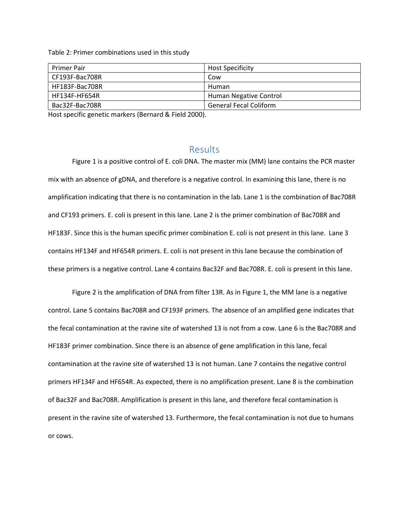Table 2: Primer combinations used in this study

| <b>Primer Pair</b> | <b>Host Specificity</b>       |
|--------------------|-------------------------------|
| CF193F-Bac708R     | Cow                           |
| HF183F-Bac708R     | Human                         |
| HF134F-HF654R      | Human Negative Control        |
| Bac32F-Bac708R     | <b>General Fecal Coliform</b> |

Host specific genetic markers (Bernard & Field 2000).

#### Results

Figure 1 is a positive control of E. coli DNA. The master mix (MM) lane contains the PCR master mix with an absence of gDNA, and therefore is a negative control. In examining this lane, there is no amplification indicating that there is no contamination in the lab. Lane 1 is the combination of Bac708R and CF193 primers. E. coli is present in this lane. Lane 2 is the primer combination of Bac708R and HF183F. Since this is the human specific primer combination E. coli is not present in this lane. Lane 3 contains HF134F and HF654R primers. E. coli is not present in this lane because the combination of these primers is a negative control. Lane 4 contains Bac32F and Bac708R. E. coli is present in this lane.

Figure 2 is the amplification of DNA from filter 13R. As in Figure 1, the MM lane is a negative control. Lane 5 contains Bac708R and CF193F primers. The absence of an amplified gene indicates that the fecal contamination at the ravine site of watershed 13 is not from a cow. Lane 6 is the Bac708R and HF183F primer combination. Since there is an absence of gene amplification in this lane, fecal contamination at the ravine site of watershed 13 is not human. Lane 7 contains the negative control primers HF134F and HF654R. As expected, there is no amplification present. Lane 8 is the combination of Bac32F and Bac708R. Amplification is present in this lane, and therefore fecal contamination is present in the ravine site of watershed 13. Furthermore, the fecal contamination is not due to humans or cows.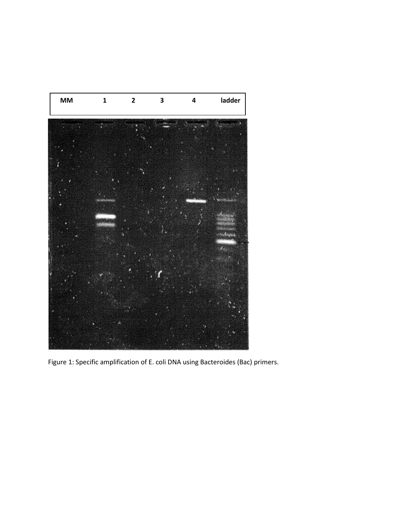

Figure 1: Specific amplification of E. coli DNA using Bacteroides (Bac) primers.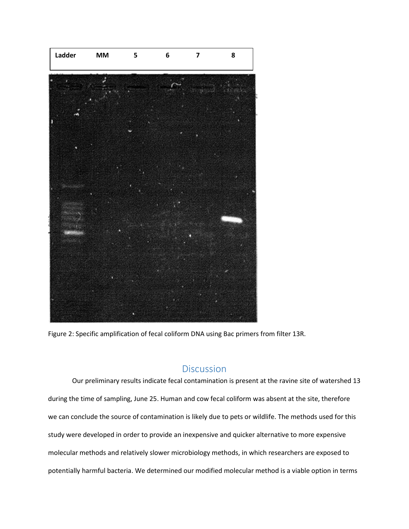

Figure 2: Specific amplification of fecal coliform DNA using Bac primers from filter 13R.

# **Discussion**

Our preliminary results indicate fecal contamination is present at the ravine site of watershed 13 during the time of sampling, June 25. Human and cow fecal coliform was absent at the site, therefore we can conclude the source of contamination is likely due to pets or wildlife. The methods used for this study were developed in order to provide an inexpensive and quicker alternative to more expensive molecular methods and relatively slower microbiology methods, in which researchers are exposed to potentially harmful bacteria. We determined our modified molecular method is a viable option in terms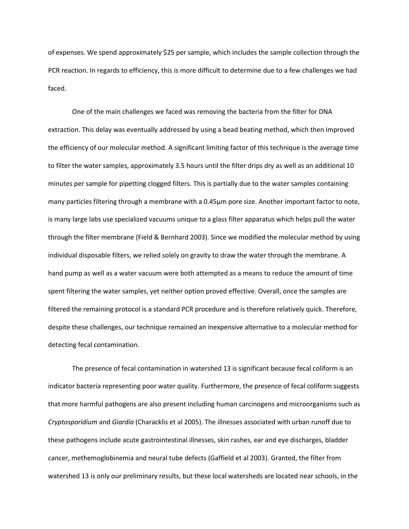of expenses. We spend approximately \$25 per sample, which includes the sample collection through the PCR reaction. In regards to efficiency, this is more difficult to determine due to a few challenges we had faced.

One of the main challenges we faced was removing the bacteria from the filter for DNA extraction. This delay was eventually addressed by using a bead beating method, which then improved the efficiency of our molecular method. A significant limiting factor of this technique is the average time to filter the water samples, approximately 3.5 hours until the filter drips dry as well as an additional 10 minutes per sample for pipetting clogged filters. This is partially due to the water samples containing many particles filtering through a membrane with a 0.45µm pore size. Another important factor to note, is many large labs use specialized vacuums unique to a glass filter apparatus which helps pull the water through the filter membrane (Field & Bernhard 2003). Since we modified the molecular method by using individual disposable filters, we relied solely on gravity to draw the water through the membrane. A hand pump as well as a water vacuum were both attempted as a means to reduce the amount of time spent filtering the water samples, yet neither option proved effective. Overall, once the samples are filtered the remaining protocol is a standard PCR procedure and is therefore relatively quick. Therefore, despite these challenges, our technique remained an inexpensive alternative to a molecular method for detecting fecal contamination.

The presence of fecal contamination in watershed 13 is significant because fecal coliform is an indicator bacteria representing poor water quality. Furthermore, the presence of fecal coliform suggests that more harmful pathogens are also present including human carcinogens and microorganisms such as *Cryptosporidium* and *Giardia* (Characklis et al 2005). The illnesses associated with urban runoff due to these pathogens include acute gastrointestinal illnesses, skin rashes, ear and eye discharges, bladder cancer, methemoglobinemia and neural tube defects (Gaffield et al 2003). Granted, the filter from watershed 13 is only our preliminary results, but these local watersheds are located near schools, in the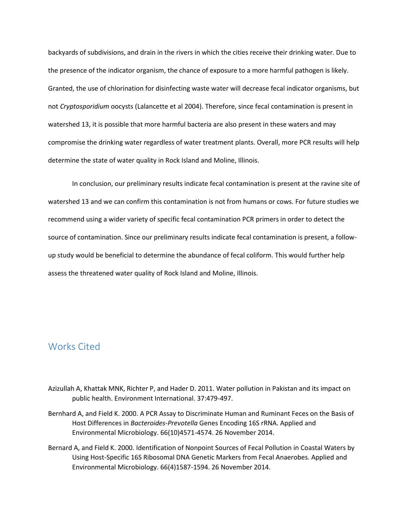backyards of subdivisions, and drain in the rivers in which the cities receive their drinking water. Due to the presence of the indicator organism, the chance of exposure to a more harmful pathogen is likely. Granted, the use of chlorination for disinfecting waste water will decrease fecal indicator organisms, but not *Cryptosporidium* oocysts (Lalancette et al 2004). Therefore, since fecal contamination is present in watershed 13, it is possible that more harmful bacteria are also present in these waters and may compromise the drinking water regardless of water treatment plants. Overall, more PCR results will help determine the state of water quality in Rock Island and Moline, Illinois.

In conclusion, our preliminary results indicate fecal contamination is present at the ravine site of watershed 13 and we can confirm this contamination is not from humans or cows. For future studies we recommend using a wider variety of specific fecal contamination PCR primers in order to detect the source of contamination. Since our preliminary results indicate fecal contamination is present, a followup study would be beneficial to determine the abundance of fecal coliform. This would further help assess the threatened water quality of Rock Island and Moline, Illinois.

### Works Cited

- Azizullah A, Khattak MNK, Richter P, and Hader D. 2011. Water pollution in Pakistan and its impact on public health. Environment International. 37:479-497.
- Bernhard A, and Field K. 2000. A PCR Assay to Discriminate Human and Ruminant Feces on the Basis of Host Differences in *Bacteroides-Prevotella* Genes Encoding 16S rRNA. Applied and Environmental Microbiology. 66(10)4571-4574. 26 November 2014.
- Bernard A, and Field K. 2000. Identification of Nonpoint Sources of Fecal Pollution in Coastal Waters by Using Host-Specific 16S Ribosomal DNA Genetic Markers from Fecal Anaerobes. Applied and Environmental Microbiology. 66(4)1587-1594. 26 November 2014.